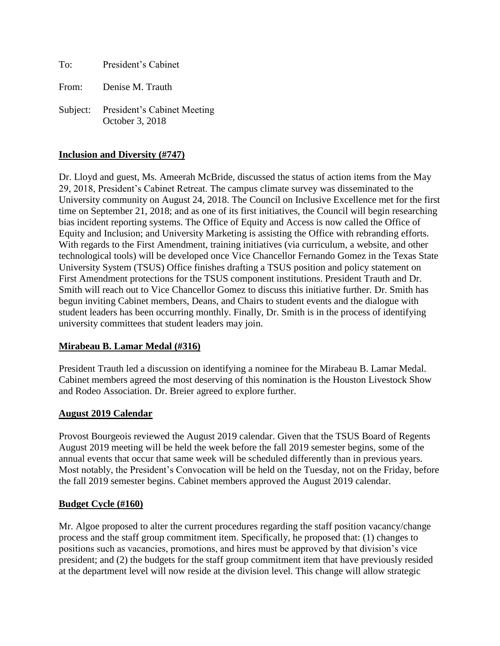To: President's Cabinet

From: Denise M. Trauth

Subject: President's Cabinet Meeting October 3, 2018

## **Inclusion and Diversity (#747)**

Dr. Lloyd and guest, Ms. Ameerah McBride, discussed the status of action items from the May 29, 2018, President's Cabinet Retreat. The campus climate survey was disseminated to the University community on August 24, 2018. The Council on Inclusive Excellence met for the first time on September 21, 2018; and as one of its first initiatives, the Council will begin researching bias incident reporting systems. The Office of Equity and Access is now called the Office of Equity and Inclusion; and University Marketing is assisting the Office with rebranding efforts. With regards to the First Amendment, training initiatives (via curriculum, a website, and other technological tools) will be developed once Vice Chancellor Fernando Gomez in the Texas State University System (TSUS) Office finishes drafting a TSUS position and policy statement on First Amendment protections for the TSUS component institutions. President Trauth and Dr. Smith will reach out to Vice Chancellor Gomez to discuss this initiative further. Dr. Smith has begun inviting Cabinet members, Deans, and Chairs to student events and the dialogue with student leaders has been occurring monthly. Finally, Dr. Smith is in the process of identifying university committees that student leaders may join.

### **Mirabeau B. Lamar Medal (#316)**

President Trauth led a discussion on identifying a nominee for the Mirabeau B. Lamar Medal. Cabinet members agreed the most deserving of this nomination is the Houston Livestock Show and Rodeo Association. Dr. Breier agreed to explore further.

### **August 2019 Calendar**

Provost Bourgeois reviewed the August 2019 calendar. Given that the TSUS Board of Regents August 2019 meeting will be held the week before the fall 2019 semester begins, some of the annual events that occur that same week will be scheduled differently than in previous years. Most notably, the President's Convocation will be held on the Tuesday, not on the Friday, before the fall 2019 semester begins. Cabinet members approved the August 2019 calendar.

### **Budget Cycle (#160)**

Mr. Algoe proposed to alter the current procedures regarding the staff position vacancy/change process and the staff group commitment item. Specifically, he proposed that: (1) changes to positions such as vacancies, promotions, and hires must be approved by that division's vice president; and (2) the budgets for the staff group commitment item that have previously resided at the department level will now reside at the division level. This change will allow strategic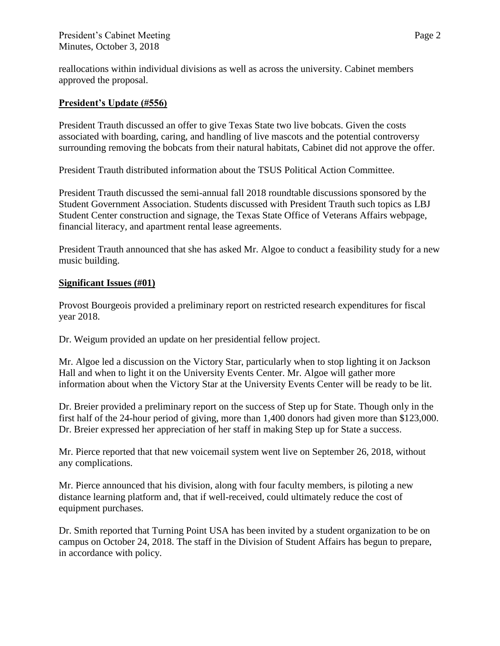reallocations within individual divisions as well as across the university. Cabinet members approved the proposal.

# **President's Update (#556)**

President Trauth discussed an offer to give Texas State two live bobcats. Given the costs associated with boarding, caring, and handling of live mascots and the potential controversy surrounding removing the bobcats from their natural habitats, Cabinet did not approve the offer.

President Trauth distributed information about the TSUS Political Action Committee.

President Trauth discussed the semi-annual fall 2018 roundtable discussions sponsored by the Student Government Association. Students discussed with President Trauth such topics as LBJ Student Center construction and signage, the Texas State Office of Veterans Affairs webpage, financial literacy, and apartment rental lease agreements.

President Trauth announced that she has asked Mr. Algoe to conduct a feasibility study for a new music building.

# **Significant Issues (#01)**

Provost Bourgeois provided a preliminary report on restricted research expenditures for fiscal year 2018.

Dr. Weigum provided an update on her presidential fellow project.

Mr. Algoe led a discussion on the Victory Star, particularly when to stop lighting it on Jackson Hall and when to light it on the University Events Center. Mr. Algoe will gather more information about when the Victory Star at the University Events Center will be ready to be lit.

Dr. Breier provided a preliminary report on the success of Step up for State. Though only in the first half of the 24-hour period of giving, more than 1,400 donors had given more than \$123,000. Dr. Breier expressed her appreciation of her staff in making Step up for State a success.

Mr. Pierce reported that that new voicemail system went live on September 26, 2018, without any complications.

Mr. Pierce announced that his division, along with four faculty members, is piloting a new distance learning platform and, that if well-received, could ultimately reduce the cost of equipment purchases.

Dr. Smith reported that Turning Point USA has been invited by a student organization to be on campus on October 24, 2018. The staff in the Division of Student Affairs has begun to prepare, in accordance with policy.